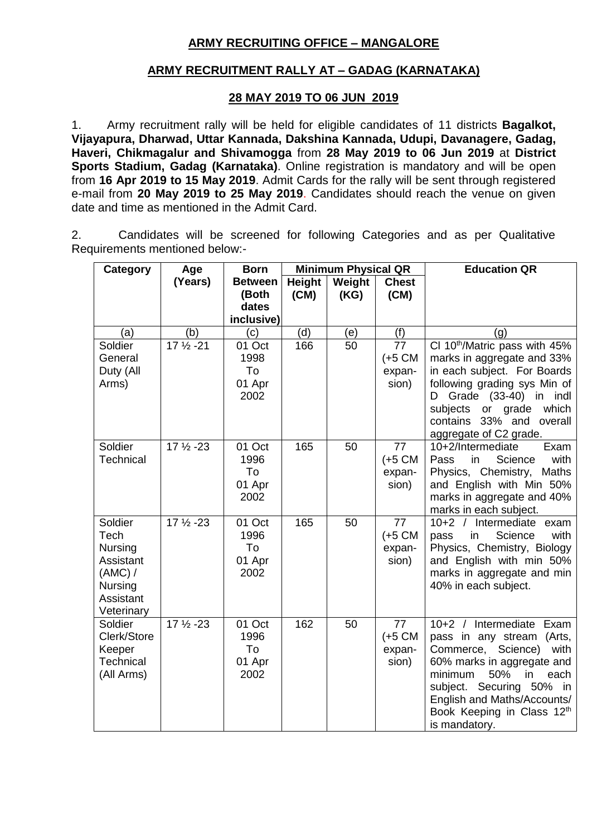# **ARMY RECRUITING OFFICE – MANGALORE**

# **ARMY RECRUITMENT RALLY AT – GADAG (KARNATAKA)**

# **28 MAY 2019 TO 06 JUN 2019**

1. Army recruitment rally will be held for eligible candidates of 11 districts **Bagalkot, Vijayapura, Dharwad, Uttar Kannada, Dakshina Kannada, Udupi, Davanagere, Gadag, Haveri, Chikmagalur and Shivamogga** from **28 May 2019 to 06 Jun 2019** at **District Sports Stadium, Gadag (Karnataka)**. Online registration is mandatory and will be open from **16 Apr 2019 to 15 May 2019**. Admit Cards for the rally will be sent through registered e-mail from **20 May 2019 to 25 May 2019**. Candidates should reach the venue on given date and time as mentioned in the Admit Card.

2. Candidates will be screened for following Categories and as per Qualitative Requirements mentioned below:-

| Category                                                                                 | Age                  | <b>Born</b>                                    | <b>Minimum Physical QR</b> |                |                                            | <b>Education QR</b>                                                                                                                                                                                                                                                 |
|------------------------------------------------------------------------------------------|----------------------|------------------------------------------------|----------------------------|----------------|--------------------------------------------|---------------------------------------------------------------------------------------------------------------------------------------------------------------------------------------------------------------------------------------------------------------------|
|                                                                                          | (Years)              | <b>Between</b><br>(Both<br>dates<br>inclusive) | <b>Height</b><br>(CM)      | Weight<br>(KG) | <b>Chest</b><br>(CM)                       |                                                                                                                                                                                                                                                                     |
| (a)                                                                                      | (b)                  | (c)                                            | (d)                        | (e)            | (f)                                        | (q)                                                                                                                                                                                                                                                                 |
| Soldier<br>General<br>Duty (All<br>Arms)                                                 | 17 1/2 - 21          | 01 Oct<br>1998<br>To<br>01 Apr<br>2002         | 166                        | 50             | 77<br>$(+5 \text{ CM})$<br>expan-<br>sion) | CI 10 <sup>th</sup> /Matric pass with 45%<br>marks in aggregate and 33%<br>in each subject. For Boards<br>following grading sys Min of<br>Grade (33-40)<br>in indl<br>D<br>subjects<br>or grade<br>which<br>contains 33% and<br>overall<br>aggregate of C2 grade.   |
| Soldier<br>Technical                                                                     | $17\frac{1}{2} - 23$ | 01 Oct<br>1996<br>To<br>01 Apr<br>2002         | 165                        | 50             | 77<br>$(+5 \text{ CM})$<br>expan-<br>sion) | 10+2/Intermediate<br>Exam<br>in<br>Science<br>with<br>Pass<br>Physics, Chemistry,<br>Maths<br>and English with Min 50%<br>marks in aggregate and 40%<br>marks in each subject.                                                                                      |
| Soldier<br>Tech<br>Nursing<br>Assistant<br>(AMC) /<br>Nursing<br>Assistant<br>Veterinary | $17\frac{1}{2} - 23$ | 01 Oct<br>1996<br>To<br>01 Apr<br>2002         | 165                        | 50             | 77<br>$(+5$ CM<br>expan-<br>sion)          | $10+2$ /<br>Intermediate exam<br>Science<br>in<br>with<br>pass<br>Physics, Chemistry, Biology<br>and English with min 50%<br>marks in aggregate and min<br>40% in each subject.                                                                                     |
| Soldier<br>Clerk/Store<br>Keeper<br>Technical<br>(All Arms)                              | $17\frac{1}{2} - 23$ | 01 Oct<br>1996<br>To<br>01 Apr<br>2002         | 162                        | 50             | 77<br>$(+5 \text{ CM})$<br>expan-<br>sion) | Intermediate<br>$10+2$ /<br>Exam<br>pass in any stream (Arts,<br>Commerce, Science)<br>with<br>60% marks in aggregate and<br>50%<br>minimum<br>in<br>each<br>subject. Securing 50% in<br>English and Maths/Accounts/<br>Book Keeping in Class 12th<br>is mandatory. |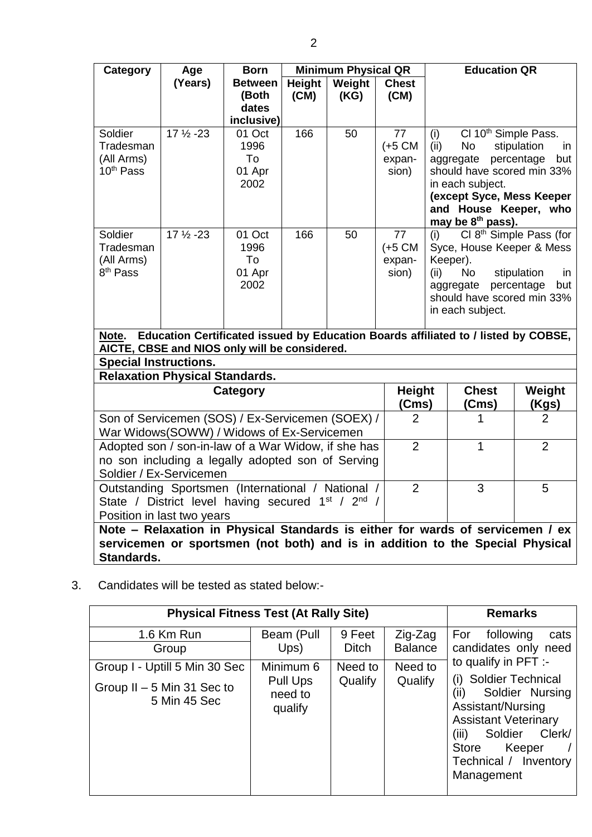| (Years)<br><b>Between</b><br>Height<br>Weight<br><b>Chest</b><br>(CM)<br>(Both<br>(CM)<br>(KG)                                                                                                                                                                                                                                                                                                                                                                                                                                      |            |
|-------------------------------------------------------------------------------------------------------------------------------------------------------------------------------------------------------------------------------------------------------------------------------------------------------------------------------------------------------------------------------------------------------------------------------------------------------------------------------------------------------------------------------------|------------|
|                                                                                                                                                                                                                                                                                                                                                                                                                                                                                                                                     |            |
| dates                                                                                                                                                                                                                                                                                                                                                                                                                                                                                                                               |            |
| inclusive)                                                                                                                                                                                                                                                                                                                                                                                                                                                                                                                          |            |
| $17\frac{1}{2} - 23$<br>166<br>CI 10 <sup>th</sup> Simple Pass.<br>Soldier<br>50<br>77<br>01 Oct<br>(i)<br>1996<br>$(+5$ CM<br><b>No</b><br>stipulation<br>Tradesman<br>(ii)<br>To<br>percentage<br>(All Arms)<br>expan-<br>aggregate                                                                                                                                                                                                                                                                                               | in<br>but  |
| 10 <sup>th</sup> Pass<br>01 Apr<br>sion)<br>should have scored min 33%                                                                                                                                                                                                                                                                                                                                                                                                                                                              |            |
| 2002<br>in each subject.                                                                                                                                                                                                                                                                                                                                                                                                                                                                                                            |            |
| (except Syce, Mess Keeper                                                                                                                                                                                                                                                                                                                                                                                                                                                                                                           |            |
| and House Keeper, who<br>may be 8 <sup>th</sup> pass).                                                                                                                                                                                                                                                                                                                                                                                                                                                                              |            |
| Cl 8 <sup>th</sup> Simple Pass (for<br>166<br>$17\frac{1}{2} - 23$<br>01 Oct<br>50<br>77<br>Soldier<br>(i)<br>1996<br>$(+5$ CM<br>Syce, House Keeper & Mess<br>Tradesman<br>Keeper).<br>(All Arms)<br>To<br>expan-<br>8 <sup>th</sup> Pass<br>stipulation<br>01 Apr<br>sion)<br>(ii)<br><b>No</b><br>2002<br>aggregate percentage<br>should have scored min 33%<br>in each subject.<br>Education Certificated issued by Education Boards affiliated to / listed by COBSE,<br>Note.<br>AICTE, CBSE and NIOS only will be considered. | in.<br>but |
| <b>Special Instructions.</b>                                                                                                                                                                                                                                                                                                                                                                                                                                                                                                        |            |
| <b>Relaxation Physical Standards.</b>                                                                                                                                                                                                                                                                                                                                                                                                                                                                                               |            |
| <b>Height</b><br><b>Chest</b><br>Weight<br>Category<br>(Cms)<br>(Cms)<br>(Kgs)                                                                                                                                                                                                                                                                                                                                                                                                                                                      |            |
| Son of Servicemen (SOS) / Ex-Servicemen (SOEX) /<br>$\overline{2}$<br>$\overline{2}$                                                                                                                                                                                                                                                                                                                                                                                                                                                |            |
| War Widows(SOWW) / Widows of Ex-Servicemen                                                                                                                                                                                                                                                                                                                                                                                                                                                                                          |            |
| $\overline{2}$<br>Adopted son / son-in-law of a War Widow, if she has<br>$\overline{2}$<br>1                                                                                                                                                                                                                                                                                                                                                                                                                                        |            |
| no son including a legally adopted son of Serving                                                                                                                                                                                                                                                                                                                                                                                                                                                                                   |            |
| Soldier / Ex-Servicemen                                                                                                                                                                                                                                                                                                                                                                                                                                                                                                             |            |
| $\overline{2}$<br>Outstanding Sportsmen (International / National /<br>3<br>5<br>1 <sup>st</sup> / 2 <sup>nd</sup>                                                                                                                                                                                                                                                                                                                                                                                                                  |            |
| State / District level having secured<br>Position in last two years                                                                                                                                                                                                                                                                                                                                                                                                                                                                 |            |

**Note – Relaxation in Physical Standards is either for wards of servicemen / ex servicemen or sportsmen (not both) and is in addition to the Special Physical Standards.**

3. Candidates will be tested as stated below:-

| <b>Physical Fitness Test (At Rally Site)</b> | <b>Remarks</b>                 |              |                |                                                                                                                                                                                              |
|----------------------------------------------|--------------------------------|--------------|----------------|----------------------------------------------------------------------------------------------------------------------------------------------------------------------------------------------|
| 1.6 Km Run                                   | Beam (Pull                     | 9 Feet       | Zig-Zag        | For<br>following<br>cats                                                                                                                                                                     |
| Group                                        | Ups)                           | <b>Ditch</b> | <b>Balance</b> | candidates only need<br>to qualify in PFT :-                                                                                                                                                 |
| Group I - Uptill 5 Min 30 Sec                | Minimum 6                      | Need to      | Need to        |                                                                                                                                                                                              |
| Group $II - 5$ Min 31 Sec to<br>5 Min 45 Sec | Pull Ups<br>need to<br>qualify | Qualify      | Qualify        | (i) Soldier Technical<br>(ii)<br>Soldier Nursing<br>Assistant/Nursing<br><b>Assistant Veterinary</b><br>(iii)<br>Soldier<br>Clerk/<br>Keeper<br>Store<br>Technical / Inventory<br>Management |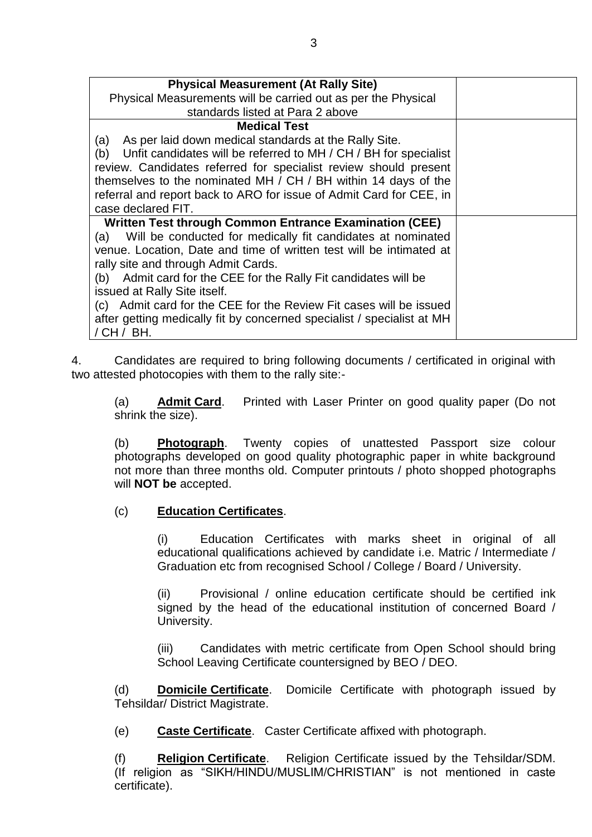| <b>Physical Measurement (At Rally Site)</b><br>Physical Measurements will be carried out as per the Physical<br>standards listed at Para 2 above                                                                                                                                                                                                                                                                                                                                                                |  |
|-----------------------------------------------------------------------------------------------------------------------------------------------------------------------------------------------------------------------------------------------------------------------------------------------------------------------------------------------------------------------------------------------------------------------------------------------------------------------------------------------------------------|--|
| <b>Medical Test</b><br>As per laid down medical standards at the Rally Site.<br>(a)<br>Unfit candidates will be referred to MH / CH / BH for specialist<br>(b)<br>review. Candidates referred for specialist review should present<br>themselves to the nominated MH / CH / BH within 14 days of the<br>referral and report back to ARO for issue of Admit Card for CEE, in<br>case declared FIT.                                                                                                               |  |
| <b>Written Test through Common Entrance Examination (CEE)</b><br>(a) Will be conducted for medically fit candidates at nominated<br>venue. Location, Date and time of written test will be intimated at<br>rally site and through Admit Cards.<br>(b) Admit card for the CEE for the Rally Fit candidates will be<br>issued at Rally Site itself.<br>(c) Admit card for the CEE for the Review Fit cases will be issued<br>after getting medically fit by concerned specialist / specialist at MH<br>/ CH / BH. |  |

4. Candidates are required to bring following documents / certificated in original with two attested photocopies with them to the rally site:-

(a) **Admit Card**. Printed with Laser Printer on good quality paper (Do not shrink the size).

(b) **Photograph**. Twenty copies of unattested Passport size colour photographs developed on good quality photographic paper in white background not more than three months old. Computer printouts / photo shopped photographs will **NOT be** accepted.

## (c) **Education Certificates**.

(i) Education Certificates with marks sheet in original of all educational qualifications achieved by candidate i.e. Matric / Intermediate / Graduation etc from recognised School / College / Board / University.

(ii) Provisional / online education certificate should be certified ink signed by the head of the educational institution of concerned Board / University.

(iii) Candidates with metric certificate from Open School should bring School Leaving Certificate countersigned by BEO / DEO.

(d) **Domicile Certificate**. Domicile Certificate with photograph issued by Tehsildar/ District Magistrate.

(e) **Caste Certificate**. Caster Certificate affixed with photograph.

(f) **Religion Certificate**. Religion Certificate issued by the Tehsildar/SDM. (If religion as "SIKH/HINDU/MUSLIM/CHRISTIAN" is not mentioned in caste certificate).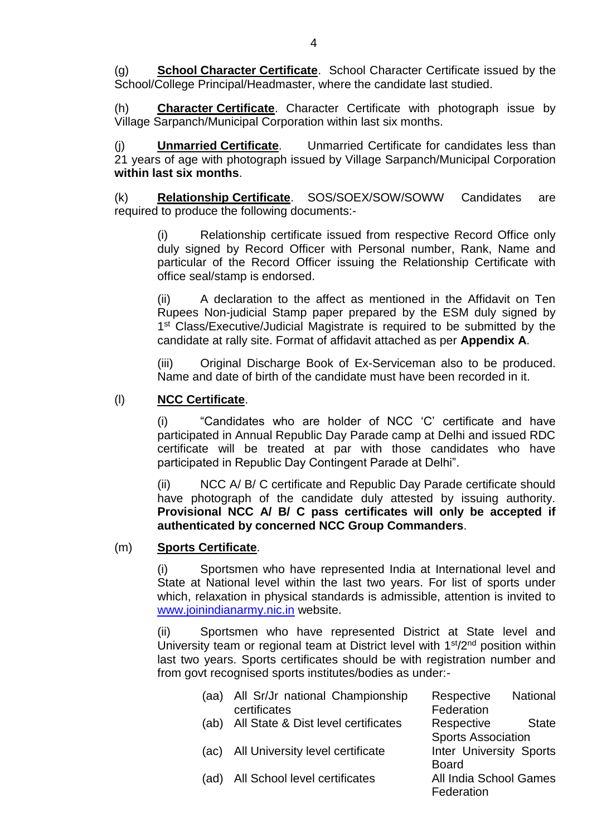(g) **School Character Certificate**. School Character Certificate issued by the School/College Principal/Headmaster, where the candidate last studied.

(h) **Character Certificate**. Character Certificate with photograph issue by Village Sarpanch/Municipal Corporation within last six months.

(j) **Unmarried Certificate**. Unmarried Certificate for candidates less than 21 years of age with photograph issued by Village Sarpanch/Municipal Corporation **within last six months**.

(k) **Relationship Certificate**. SOS/SOEX/SOW/SOWW Candidates are required to produce the following documents:-

(i) Relationship certificate issued from respective Record Office only duly signed by Record Officer with Personal number, Rank, Name and particular of the Record Officer issuing the Relationship Certificate with office seal/stamp is endorsed.

(ii) A declaration to the affect as mentioned in the Affidavit on Ten Rupees Non-judicial Stamp paper prepared by the ESM duly signed by 1<sup>st</sup> Class/Executive/Judicial Magistrate is required to be submitted by the candidate at rally site. Format of affidavit attached as per **Appendix A**.

(iii) Original Discharge Book of Ex-Serviceman also to be produced. Name and date of birth of the candidate must have been recorded in it.

## (l) **NCC Certificate**.

(i) "Candidates who are holder of NCC 'C' certificate and have participated in Annual Republic Day Parade camp at Delhi and issued RDC certificate will be treated at par with those candidates who have participated in Republic Day Contingent Parade at Delhi".

(ii) NCC A/ B/ C certificate and Republic Day Parade certificate should have photograph of the candidate duly attested by issuing authority. **Provisional NCC A/ B/ C pass certificates will only be accepted if authenticated by concerned NCC Group Commanders**.

#### (m) **Sports Certificate**.

(i) Sportsmen who have represented India at International level and State at National level within the last two years. For list of sports under which, relaxation in physical standards is admissible, attention is invited to [www.joinindianarmy.nic.in](http://www.joinindianarmy.nic.in/) website.

(ii) Sportsmen who have represented District at State level and University team or regional team at District level with 1<sup>st</sup>/2<sup>nd</sup> position within last two years. Sports certificates should be with registration number and from govt recognised sports institutes/bodies as under:-

| (aa) | All Sr/Jr national Championship     | <b>National</b><br>Respective  |
|------|-------------------------------------|--------------------------------|
|      | certificates                        | Federation                     |
| (ab) | All State & Dist level certificates | Respective<br><b>State</b>     |
|      |                                     | <b>Sports Association</b>      |
| (ac) | All University level certificate    | <b>Inter University Sports</b> |
|      |                                     | <b>Board</b>                   |
| (ad) | All School level certificates       | All India School Games         |
|      |                                     | Federation                     |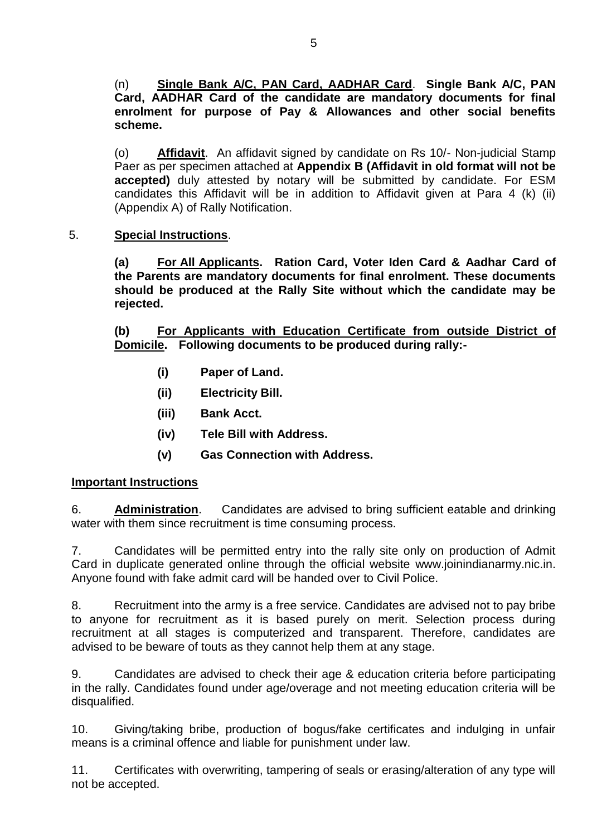(n) **Single Bank A/C, PAN Card, AADHAR Card**. **Single Bank A/C, PAN Card, AADHAR Card of the candidate are mandatory documents for final enrolment for purpose of Pay & Allowances and other social benefits scheme.**

(o) **Affidavit**. An affidavit signed by candidate on Rs 10/- Non-judicial Stamp Paer as per specimen attached at **Appendix B (Affidavit in old format will not be accepted)** duly attested by notary will be submitted by candidate. For ESM candidates this Affidavit will be in addition to Affidavit given at Para 4 (k) (ii) (Appendix A) of Rally Notification.

# 5. **Special Instructions**.

**(a) For All Applicants. Ration Card, Voter Iden Card & Aadhar Card of the Parents are mandatory documents for final enrolment. These documents should be produced at the Rally Site without which the candidate may be rejected.**

**(b) For Applicants with Education Certificate from outside District of Domicile. Following documents to be produced during rally:-**

- **(i) Paper of Land.**
- **(ii) Electricity Bill.**
- **(iii) Bank Acct.**
- **(iv) Tele Bill with Address.**
- **(v) Gas Connection with Address.**

# **Important Instructions**

6. **Administration**. Candidates are advised to bring sufficient eatable and drinking water with them since recruitment is time consuming process.

7. Candidates will be permitted entry into the rally site only on production of Admit Card in duplicate generated online through the official website www.joinindianarmy.nic.in. Anyone found with fake admit card will be handed over to Civil Police.

8. Recruitment into the army is a free service. Candidates are advised not to pay bribe to anyone for recruitment as it is based purely on merit. Selection process during recruitment at all stages is computerized and transparent. Therefore, candidates are advised to be beware of touts as they cannot help them at any stage.

9. Candidates are advised to check their age & education criteria before participating in the rally. Candidates found under age/overage and not meeting education criteria will be disqualified.

10. Giving/taking bribe, production of bogus/fake certificates and indulging in unfair means is a criminal offence and liable for punishment under law.

11. Certificates with overwriting, tampering of seals or erasing/alteration of any type will not be accepted.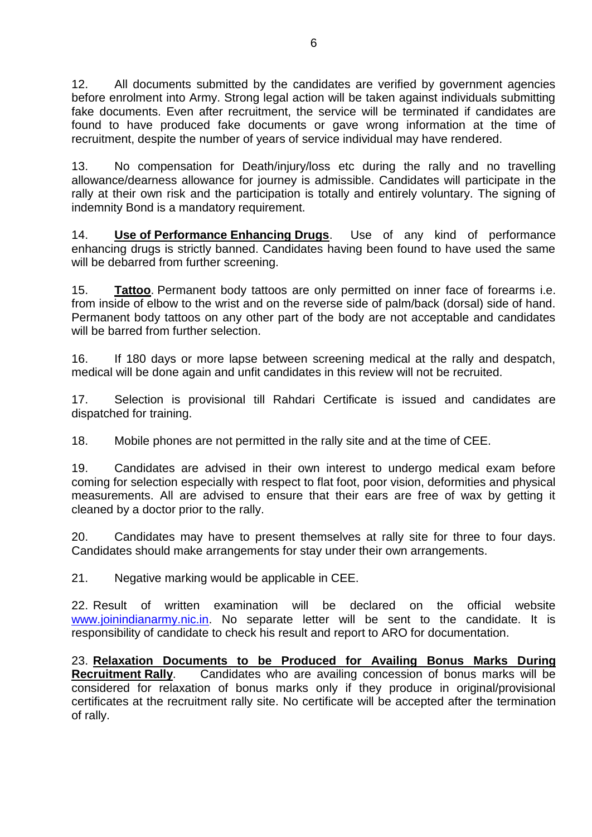12. All documents submitted by the candidates are verified by government agencies before enrolment into Army. Strong legal action will be taken against individuals submitting fake documents. Even after recruitment, the service will be terminated if candidates are found to have produced fake documents or gave wrong information at the time of recruitment, despite the number of years of service individual may have rendered.

13. No compensation for Death/injury/loss etc during the rally and no travelling allowance/dearness allowance for journey is admissible. Candidates will participate in the rally at their own risk and the participation is totally and entirely voluntary. The signing of indemnity Bond is a mandatory requirement.

14. **Use of Performance Enhancing Drugs**. Use of any kind of performance enhancing drugs is strictly banned. Candidates having been found to have used the same will be debarred from further screening.

15. **Tattoo**. Permanent body tattoos are only permitted on inner face of forearms i.e. from inside of elbow to the wrist and on the reverse side of palm/back (dorsal) side of hand. Permanent body tattoos on any other part of the body are not acceptable and candidates will be barred from further selection.

16. If 180 days or more lapse between screening medical at the rally and despatch, medical will be done again and unfit candidates in this review will not be recruited.

17. Selection is provisional till Rahdari Certificate is issued and candidates are dispatched for training.

18. Mobile phones are not permitted in the rally site and at the time of CEE.

19. Candidates are advised in their own interest to undergo medical exam before coming for selection especially with respect to flat foot, poor vision, deformities and physical measurements. All are advised to ensure that their ears are free of wax by getting it cleaned by a doctor prior to the rally.

20. Candidates may have to present themselves at rally site for three to four days. Candidates should make arrangements for stay under their own arrangements.

21. Negative marking would be applicable in CEE.

22. Result of written examination will be declared on the official website [www.joinindianarmy.nic.in.](http://www.joinindianarmy.nic.in/) No separate letter will be sent to the candidate. It is responsibility of candidate to check his result and report to ARO for documentation.

23. **Relaxation Documents to be Produced for Availing Bonus Marks During Recruitment Rally.** Candidates who are availing concession of bonus marks will be considered for relaxation of bonus marks only if they produce in original/provisional certificates at the recruitment rally site. No certificate will be accepted after the termination of rally.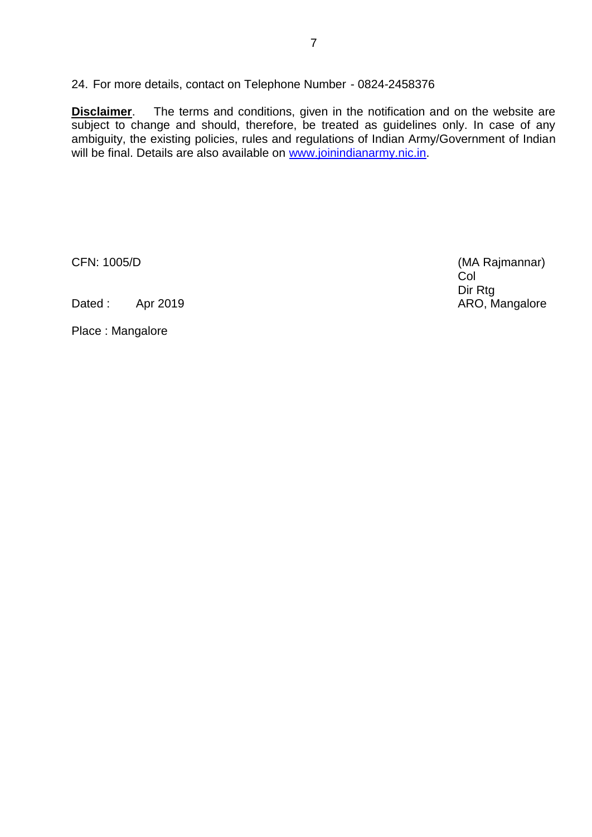24. For more details, contact on Telephone Number - 0824-2458376

**Disclaimer**. The terms and conditions, given in the notification and on the website are subject to change and should, therefore, be treated as guidelines only. In case of any ambiguity, the existing policies, rules and regulations of Indian Army/Government of Indian will be final. Details are also available on [www.joinindianarmy.nic.in.](http://www.joinindianarmy.nic.in/)

Dated : Apr 2019 ARO, Mangalore

Place : Mangalore

CFN: 1005/D (MA Rajmannar) Col Dir Rtg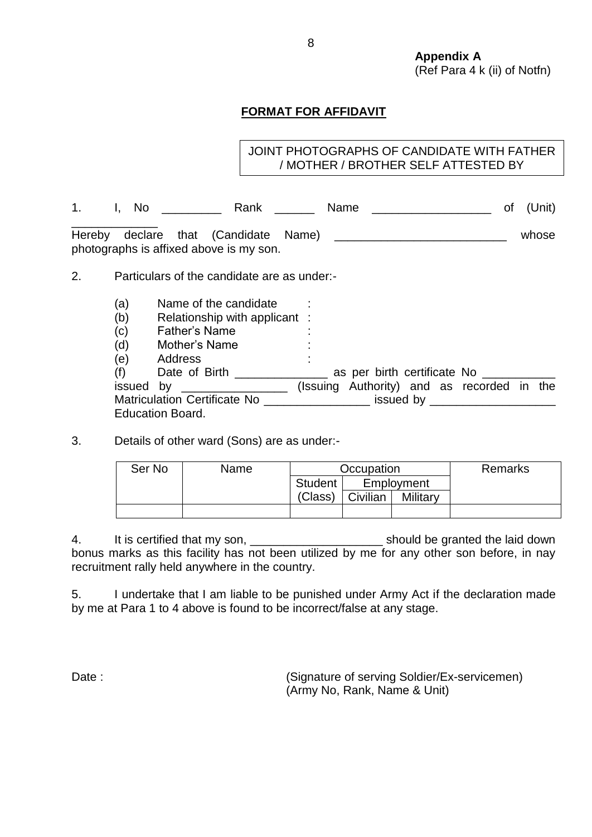**Appendix A** (Ref Para 4 k (ii) of Notfn)

# **FORMAT FOR AFFIDAVIT**

# JOINT PHOTOGRAPHS OF CANDIDATE WITH FATHER / MOTHER / BROTHER SELF ATTESTED BY

| I. No | Rank                                                                            | <b>Name</b> |  | of (Unit) |
|-------|---------------------------------------------------------------------------------|-------------|--|-----------|
|       | Hereby declare that (Candidate Name)<br>photographs is affixed above is my son. |             |  | whose     |

2. Particulars of the candidate are as under:-

- 
- (a) Name of the candidate<br>
(b) Relationship with applica<br>
(c) Father's Name<br>
(d) Mother's Name Relationship with applicant :
- Father's Name
- Mother's Name
- (e) Address

(f) Date of Birth  $\frac{1}{\sqrt{1-\frac{1}{2}}}\$  as per birth certificate No  $\frac{1}{\sqrt{1-\frac{1}{2}}}\$ issued by \_\_\_\_\_\_\_\_\_\_\_\_\_\_\_\_ (Issuing Authority) and as recorded in the Matriculation Certificate No \_\_\_\_\_\_\_\_\_\_\_\_\_\_\_\_\_\_\_ issued by \_\_\_\_\_\_\_\_\_\_\_\_\_\_\_\_\_\_\_\_\_ Education Board.

3. Details of other ward (Sons) are as under:-

| Ser No | Name | Occupation |            |          | Remarks |
|--------|------|------------|------------|----------|---------|
|        |      | Student    | Employment |          |         |
|        |      | (Class)    | Civilian   | Military |         |
|        |      |            |            |          |         |

4. It is certified that my son, **we are all increases and the laid solution** should be granted the laid down bonus marks as this facility has not been utilized by me for any other son before, in nay recruitment rally held anywhere in the country.

5. I undertake that I am liable to be punished under Army Act if the declaration made by me at Para 1 to 4 above is found to be incorrect/false at any stage.

Date : (Signature of serving Soldier/Ex-servicemen) (Army No, Rank, Name & Unit)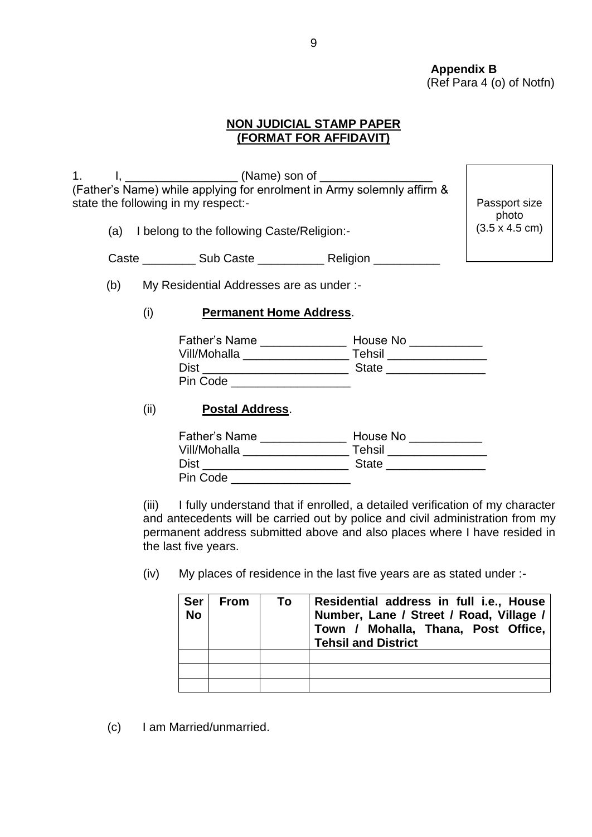**Appendix B** (Ref Para 4 (o) of Notfn)

## **NON JUDICIAL STAMP PAPER (FORMAT FOR AFFIDAVIT)**

1. I, \_\_\_\_\_\_\_\_\_\_\_\_\_\_\_\_\_ (Name) son of \_\_\_\_\_\_\_\_\_\_\_\_\_\_\_\_\_ (Father's Name) while applying for enrolment in Army solemnly affirm & state the following in my respect:-

(a) I belong to the following Caste/Religion:-

Passport size photo (3.5 x 4.5 cm)

| Caste | <b>Sub Caste</b> | Religion |
|-------|------------------|----------|

(b) My Residential Addresses are as under :-

## (i) **Permanent Home Address**.

| <b>Father's Name</b> | House No     |
|----------------------|--------------|
| Vill/Mohalla         | Tehsil       |
| <b>Dist</b>          | <b>State</b> |
| Pin Code             |              |

## (ii) **Postal Address**.

| <b>Father's Name</b> | House No     |
|----------------------|--------------|
| Vill/Mohalla         | Tehsil       |
| <b>Dist</b>          | <b>State</b> |
| Pin Code             |              |

(iii) I fully understand that if enrolled, a detailed verification of my character and antecedents will be carried out by police and civil administration from my permanent address submitted above and also places where I have resided in the last five years.

(iv) My places of residence in the last five years are as stated under :-

| <b>Ser</b><br><b>No</b> | <b>From</b> | To | Residential address in full i.e., House<br>Number, Lane / Street / Road, Village /<br>Town / Mohalla, Thana, Post Office,<br><b>Tehsil and District</b> |  |
|-------------------------|-------------|----|---------------------------------------------------------------------------------------------------------------------------------------------------------|--|
|                         |             |    |                                                                                                                                                         |  |
|                         |             |    |                                                                                                                                                         |  |
|                         |             |    |                                                                                                                                                         |  |

(c) I am Married/unmarried.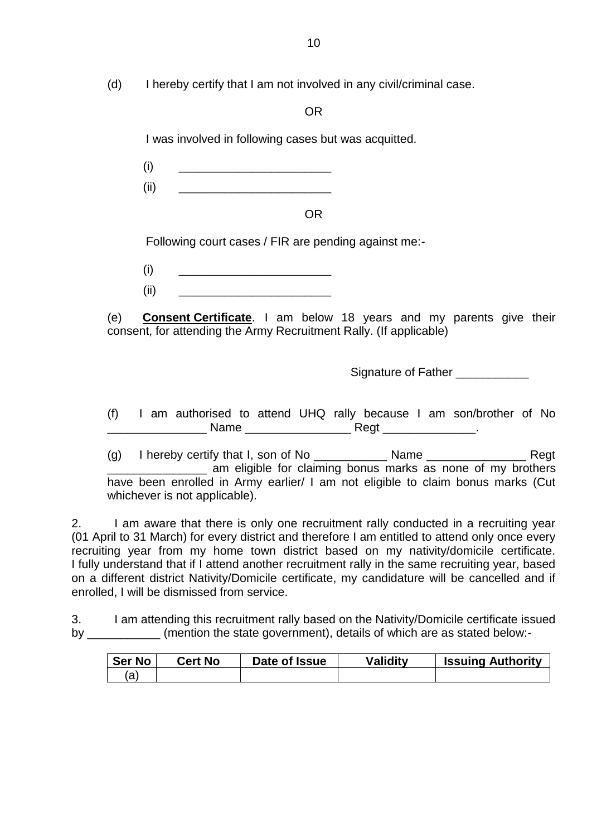(d) I hereby certify that I am not involved in any civil/criminal case.

OR

I was involved in following cases but was acquitted.

(i) \_\_\_\_\_\_\_\_\_\_\_\_\_\_\_\_\_\_\_\_\_\_\_

(ii) \_\_\_\_\_\_\_\_\_\_\_\_\_\_\_\_\_\_\_\_\_\_\_

OR

Following court cases / FIR are pending against me:-

(i) \_\_\_\_\_\_\_\_\_\_\_\_\_\_\_\_\_\_\_\_\_\_\_

 $(ii)$   $\qquad \qquad \qquad$ 

(e) **Consent Certificate**. I am below 18 years and my parents give their consent, for attending the Army Recruitment Rally. (If applicable)

Signature of Father \_\_\_\_\_\_\_\_\_\_\_

(f) I am authorised to attend UHQ rally because I am son/brother of No \_\_\_\_\_\_\_\_\_\_\_\_\_\_\_ Name \_\_\_\_\_\_\_\_\_\_\_\_\_\_\_\_ Regt \_\_\_\_\_\_\_\_\_\_\_\_\_\_.

(g) I hereby certify that I, son of No  $\frac{1}{2}$  Name  $\frac{1}{2}$  Name  $\frac{1}{2}$  Regt **The lattice am eligible for claiming bonus marks as none of my brothers** have been enrolled in Army earlier/ I am not eligible to claim bonus marks (Cut whichever is not applicable).

2. I am aware that there is only one recruitment rally conducted in a recruiting year (01 April to 31 March) for every district and therefore I am entitled to attend only once every recruiting year from my home town district based on my nativity/domicile certificate. I fully understand that if I attend another recruitment rally in the same recruiting year, based on a different district Nativity/Domicile certificate, my candidature will be cancelled and if enrolled, I will be dismissed from service.

3. I am attending this recruitment rally based on the Nativity/Domicile certificate issued by \_\_\_\_\_\_\_\_\_\_\_ (mention the state government), details of which are as stated below:-

| <b>Ser No</b> | Cert No | Date of Issue | <b>Validity</b> | <b>Issuing Authority</b> |
|---------------|---------|---------------|-----------------|--------------------------|
| a             |         |               |                 |                          |